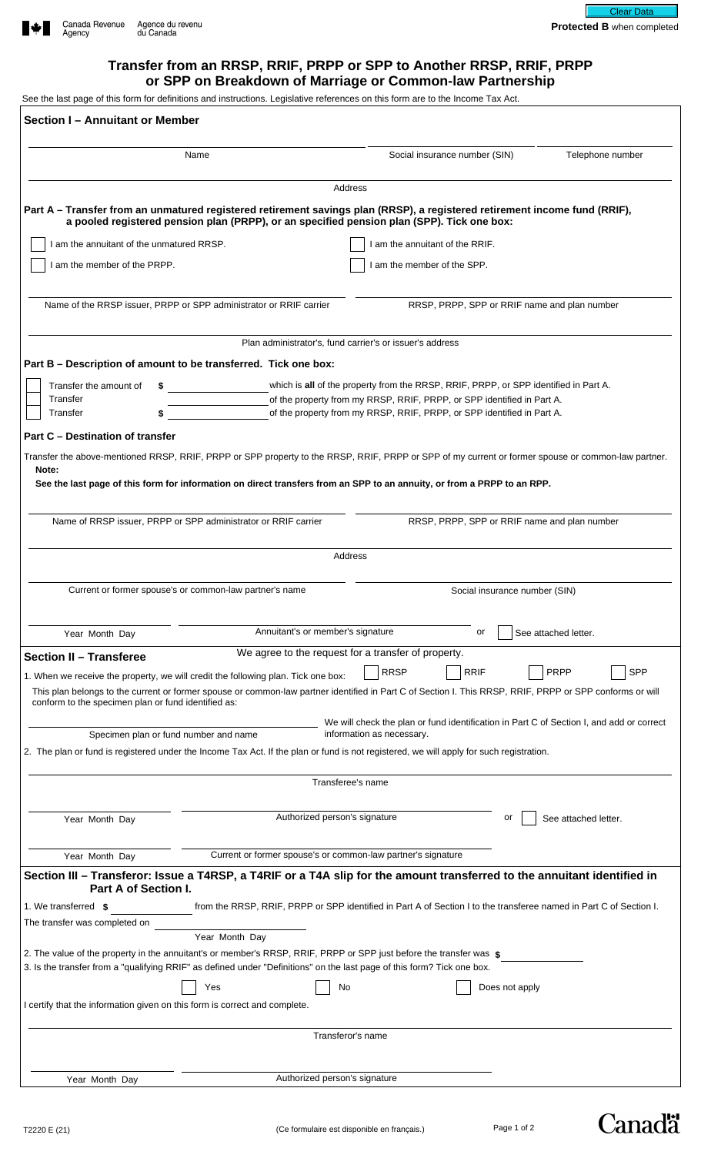

# **Transfer from an RRSP, RRIF, PRPP or SPP to Another RRSP, RRIF, PRPP or SPP on Breakdown of Marriage or Common-law Partnership**

See the last page of this form for definitions and instructions. Legislative references on this form are to the Income Tax Act.

| Section I - Annuitant or Member                                                                                                                                                                                                                  |                                                              |                                                                                                                                                                                                                                                                               |                           |
|--------------------------------------------------------------------------------------------------------------------------------------------------------------------------------------------------------------------------------------------------|--------------------------------------------------------------|-------------------------------------------------------------------------------------------------------------------------------------------------------------------------------------------------------------------------------------------------------------------------------|---------------------------|
| Name                                                                                                                                                                                                                                             |                                                              | Social insurance number (SIN)                                                                                                                                                                                                                                                 | Telephone number          |
|                                                                                                                                                                                                                                                  |                                                              | Address                                                                                                                                                                                                                                                                       |                           |
|                                                                                                                                                                                                                                                  |                                                              | Part A - Transfer from an unmatured registered retirement savings plan (RRSP), a registered retirement income fund (RRIF),<br>a pooled registered pension plan (PRPP), or an specified pension plan (SPP). Tick one box:                                                      |                           |
| I am the annuitant of the unmatured RRSP.                                                                                                                                                                                                        |                                                              | I am the annuitant of the RRIF.                                                                                                                                                                                                                                               |                           |
| I am the member of the PRPP.                                                                                                                                                                                                                     |                                                              | I am the member of the SPP.                                                                                                                                                                                                                                                   |                           |
| Name of the RRSP issuer, PRPP or SPP administrator or RRIF carrier                                                                                                                                                                               |                                                              | RRSP, PRPP, SPP or RRIF name and plan number                                                                                                                                                                                                                                  |                           |
|                                                                                                                                                                                                                                                  |                                                              | Plan administrator's, fund carrier's or issuer's address                                                                                                                                                                                                                      |                           |
| Part B – Description of amount to be transferred. Tick one box:                                                                                                                                                                                  |                                                              |                                                                                                                                                                                                                                                                               |                           |
| Transfer the amount of<br>Transfer<br>Transfer<br><b>Part C - Destination of transfer</b>                                                                                                                                                        |                                                              | which is all of the property from the RRSP, RRIF, PRPP, or SPP identified in Part A.<br>of the property from my RRSP, RRIF, PRPP, or SPP identified in Part A.<br>of the property from my RRSP, RRIF, PRPP, or SPP identified in Part A.                                      |                           |
| Note:                                                                                                                                                                                                                                            |                                                              | Transfer the above-mentioned RRSP, RRIF, PRPP or SPP property to the RRSP, RRIF, PRPP or SPP of my current or former spouse or common-law partner.<br>See the last page of this form for information on direct transfers from an SPP to an annuity, or from a PRPP to an RPP. |                           |
| Name of RRSP issuer, PRPP or SPP administrator or RRIF carrier                                                                                                                                                                                   |                                                              | RRSP, PRPP, SPP or RRIF name and plan number                                                                                                                                                                                                                                  |                           |
|                                                                                                                                                                                                                                                  |                                                              | Address                                                                                                                                                                                                                                                                       |                           |
|                                                                                                                                                                                                                                                  |                                                              |                                                                                                                                                                                                                                                                               |                           |
| Current or former spouse's or common-law partner's name                                                                                                                                                                                          |                                                              | Social insurance number (SIN)                                                                                                                                                                                                                                                 |                           |
| Year Month Day                                                                                                                                                                                                                                   | Annuitant's or member's signature                            | or                                                                                                                                                                                                                                                                            | See attached letter.      |
| <b>Section II - Transferee</b>                                                                                                                                                                                                                   |                                                              | We agree to the request for a transfer of property.                                                                                                                                                                                                                           |                           |
| 1. When we receive the property, we will credit the following plan. Tick one box:<br>conform to the specimen plan or fund identified as:                                                                                                         |                                                              | <b>RRSP</b><br><b>RRIF</b><br>This plan belongs to the current or former spouse or common-law partner identified in Part C of Section I. This RRSP, RRIF, PRPP or SPP conforms or will                                                                                        | <b>PRPP</b><br><b>SPP</b> |
| Specimen plan or fund number and name                                                                                                                                                                                                            |                                                              | We will check the plan or fund identification in Part C of Section I, and add or correct<br>information as necessary.                                                                                                                                                         |                           |
|                                                                                                                                                                                                                                                  |                                                              | 2. The plan or fund is registered under the Income Tax Act. If the plan or fund is not registered, we will apply for such registration.                                                                                                                                       |                           |
|                                                                                                                                                                                                                                                  |                                                              | Transferee's name                                                                                                                                                                                                                                                             |                           |
| Year Month Day                                                                                                                                                                                                                                   | Authorized person's signature                                | or                                                                                                                                                                                                                                                                            | See attached letter.      |
|                                                                                                                                                                                                                                                  |                                                              |                                                                                                                                                                                                                                                                               |                           |
| Year Month Day                                                                                                                                                                                                                                   | Current or former spouse's or common-law partner's signature | Section III – Transferor: Issue a T4RSP, a T4RIF or a T4A slip for the amount transferred to the annuitant identified in                                                                                                                                                      |                           |
| Part A of Section I.                                                                                                                                                                                                                             |                                                              |                                                                                                                                                                                                                                                                               |                           |
| 1. We transferred \$                                                                                                                                                                                                                             |                                                              | from the RRSP, RRIF, PRPP or SPP identified in Part A of Section I to the transferee named in Part C of Section I.                                                                                                                                                            |                           |
| The transfer was completed on                                                                                                                                                                                                                    | Year Month Day                                               |                                                                                                                                                                                                                                                                               |                           |
| 2. The value of the property in the annuitant's or member's RRSP, RRIF, PRPP or SPP just before the transfer was $\,$<br>3. Is the transfer from a "qualifying RRIF" as defined under "Definitions" on the last page of this form? Tick one box. |                                                              |                                                                                                                                                                                                                                                                               |                           |
|                                                                                                                                                                                                                                                  | No<br>Yes                                                    | Does not apply                                                                                                                                                                                                                                                                |                           |
| I certify that the information given on this form is correct and complete.                                                                                                                                                                       |                                                              |                                                                                                                                                                                                                                                                               |                           |
| Transferor's name                                                                                                                                                                                                                                |                                                              |                                                                                                                                                                                                                                                                               |                           |
|                                                                                                                                                                                                                                                  |                                                              |                                                                                                                                                                                                                                                                               |                           |
| Year Month Day                                                                                                                                                                                                                                   | Authorized person's signature                                |                                                                                                                                                                                                                                                                               |                           |

Canadä